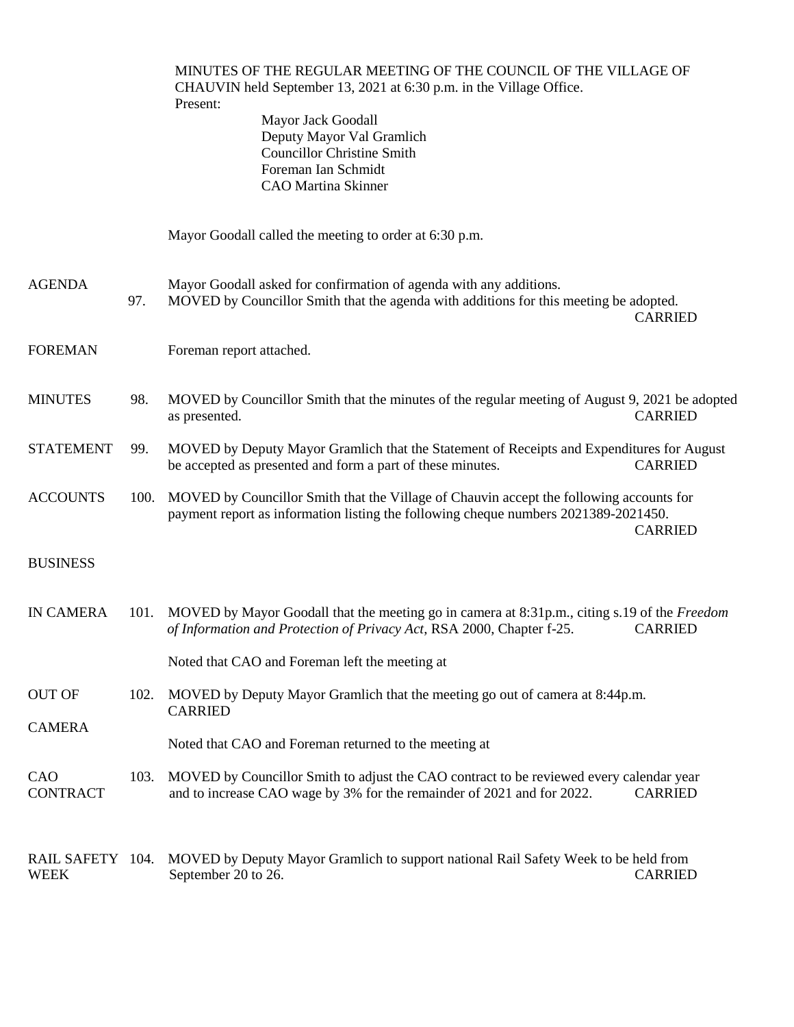|                                 |      | MINUTES OF THE REGULAR MEETING OF THE COUNCIL OF THE VILLAGE OF<br>CHAUVIN held September 13, 2021 at 6:30 p.m. in the Village Office.<br>Present:<br>Mayor Jack Goodall<br>Deputy Mayor Val Gramlich<br><b>Councillor Christine Smith</b><br>Foreman Ian Schmidt<br><b>CAO</b> Martina Skinner |
|---------------------------------|------|-------------------------------------------------------------------------------------------------------------------------------------------------------------------------------------------------------------------------------------------------------------------------------------------------|
|                                 |      | Mayor Goodall called the meeting to order at 6:30 p.m.                                                                                                                                                                                                                                          |
| <b>AGENDA</b>                   | 97.  | Mayor Goodall asked for confirmation of agenda with any additions.<br>MOVED by Councillor Smith that the agenda with additions for this meeting be adopted.<br><b>CARRIED</b>                                                                                                                   |
| <b>FOREMAN</b>                  |      | Foreman report attached.                                                                                                                                                                                                                                                                        |
| <b>MINUTES</b>                  | 98.  | MOVED by Councillor Smith that the minutes of the regular meeting of August 9, 2021 be adopted<br><b>CARRIED</b><br>as presented.                                                                                                                                                               |
| <b>STATEMENT</b>                | 99.  | MOVED by Deputy Mayor Gramlich that the Statement of Receipts and Expenditures for August<br><b>CARRIED</b><br>be accepted as presented and form a part of these minutes.                                                                                                                       |
| <b>ACCOUNTS</b>                 | 100. | MOVED by Councillor Smith that the Village of Chauvin accept the following accounts for<br>payment report as information listing the following cheque numbers 2021389-2021450.<br><b>CARRIED</b>                                                                                                |
| <b>BUSINESS</b>                 |      |                                                                                                                                                                                                                                                                                                 |
| <b>IN CAMERA</b>                |      | 101. MOVED by Mayor Goodall that the meeting go in camera at 8:31p.m., citing s.19 of the Freedom<br><b>CARRIED</b><br>of Information and Protection of Privacy Act, RSA 2000, Chapter f-25.                                                                                                    |
|                                 |      | Noted that CAO and Foreman left the meeting at                                                                                                                                                                                                                                                  |
| <b>OUT OF</b>                   | 102. | MOVED by Deputy Mayor Gramlich that the meeting go out of camera at 8:44p.m.<br><b>CARRIED</b>                                                                                                                                                                                                  |
| <b>CAMERA</b>                   |      | Noted that CAO and Foreman returned to the meeting at                                                                                                                                                                                                                                           |
| CAO<br><b>CONTRACT</b>          | 103. | MOVED by Councillor Smith to adjust the CAO contract to be reviewed every calendar year<br>and to increase CAO wage by 3% for the remainder of 2021 and for 2022.<br><b>CARRIED</b>                                                                                                             |
| RAIL SAFETY 104.<br><b>WEEK</b> |      | MOVED by Deputy Mayor Gramlich to support national Rail Safety Week to be held from<br><b>CARRIED</b><br>September 20 to 26.                                                                                                                                                                    |